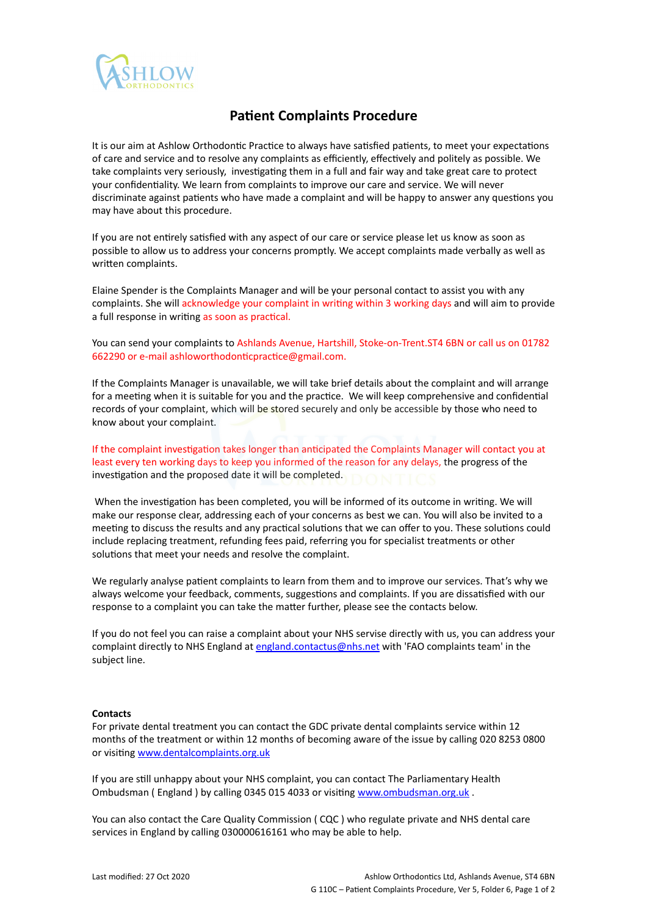

## **Patient Complaints Procedure**

It is our aim at Ashlow Orthodontic Practice to always have satisfied patients, to meet your expectations of care and service and to resolve any complaints as efficiently, effectively and politely as possible. We take complaints very seriously, investigating them in a full and fair way and take great care to protect your confidentiality. We learn from complaints to improve our care and service. We will never discriminate against patients who have made a complaint and will be happy to answer any questions you may have about this procedure.

If you are not entirely satisfied with any aspect of our care or service please let us know as soon as possible to allow us to address your concerns promptly. We accept complaints made verbally as well as written complaints.

Elaine Spender is the Complaints Manager and will be your personal contact to assist you with any complaints. She will acknowledge your complaint in writing within 3 working days and will aim to provide a full response in writing as soon as practical.

You can send your complaints to Ashlands Avenue, Hartshill, Stoke-on-Trent.ST4 6BN or call us on 01782 662290 or e-mail ashloworthodonticpractice@gmail.com.

If the Complaints Manager is unavailable, we will take brief details about the complaint and will arrange for a meeting when it is suitable for you and the practice. We will keep comprehensive and confidential records of your complaint, which will be stored securely and only be accessible by those who need to know about your complaint.

If the complaint investigation takes longer than anticipated the Complaints Manager will contact you at least every ten working days to keep you informed of the reason for any delays, the progress of the investigation and the proposed date it will be completed.

When the investigation has been completed, you will be informed of its outcome in writing. We will make our response clear, addressing each of your concerns as best we can. You will also be invited to a meeting to discuss the results and any practical solutions that we can offer to you. These solutions could include replacing treatment, refunding fees paid, referring you for specialist treatments or other solutions that meet your needs and resolve the complaint.

We regularly analyse patient complaints to learn from them and to improve our services. That's why we always welcome your feedback, comments, suggestions and complaints. If you are dissatisfied with our response to a complaint you can take the matter further, please see the contacts below.

If you do not feel you can raise a complaint about your NHS servise directly with us, you can address your complaint directly to NHS England at [england.contactus@nhs.net](mailto:england.contactus@nhs.net) with 'FAO complaints team' in the subject line.

## **Contacts**

For private dental treatment you can contact the GDC private dental complaints service within 12 months of the treatment or within 12 months of becoming aware of the issue by calling 020 8253 0800 or visiting [www.dentalcomplaints.org.uk](http://www.dentalcomplaints.org.uk/)

If you are still unhappy about your NHS complaint, you can contact The Parliamentary Health Ombudsman ( England ) by calling 0345 015 4033 or visiting [www.ombudsman.org.uk](http://www.ombudsman.org.uk) .

You can also contact the Care Quality Commission ( CQC ) who regulate private and NHS dental care services in England by calling 030000616161 who may be able to help.